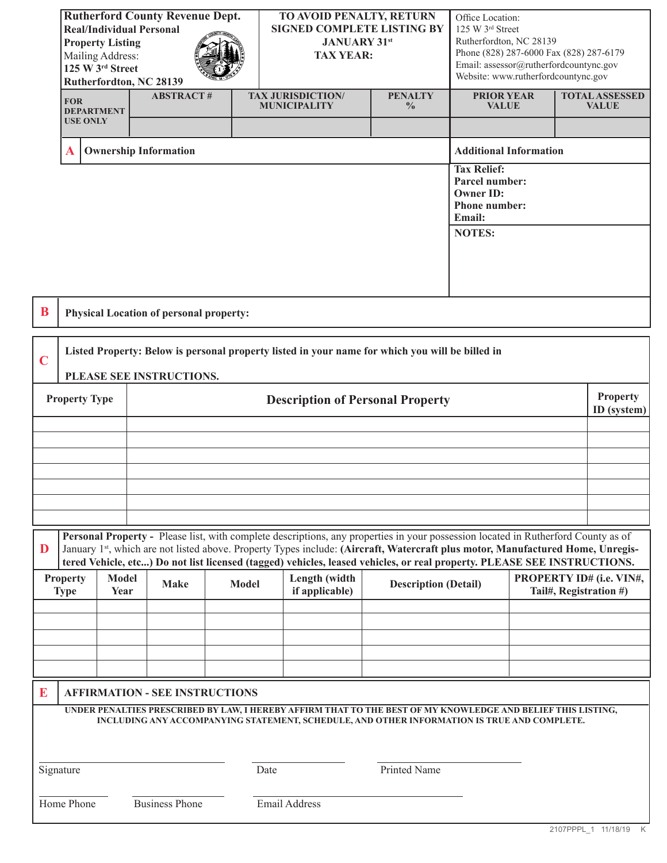| <b>Rutherford County Revenue Dept.</b><br><b>Real/Individual Personal</b><br><b>Property Listing</b><br>Mailing Address:<br>125 W 3rd Street<br>Rutherfordton, NC 28139 |                              | TO AVOID PENALTY, RETURN<br><b>SIGNED COMPLETE LISTING BY</b><br><b>JANUARY 31st</b><br><b>TAX YEAR:</b> |                                                 | Office Location:<br>125 W 3rd Street<br>Rutherfordton, NC 28139<br>Phone (828) 287-6000 Fax (828) 287-6179<br>Email: assessor@rutherfordcountync.gov<br>Website: www.rutherfordcountync.gov |                                                                                            |                                       |
|-------------------------------------------------------------------------------------------------------------------------------------------------------------------------|------------------------------|----------------------------------------------------------------------------------------------------------|-------------------------------------------------|---------------------------------------------------------------------------------------------------------------------------------------------------------------------------------------------|--------------------------------------------------------------------------------------------|---------------------------------------|
| <b>FOR</b><br><b>DEPARTMENT</b>                                                                                                                                         | <b>ABSTRACT#</b>             |                                                                                                          | <b>TAX JURISDICTION/</b><br><b>MUNICIPALITY</b> | <b>PENALTY</b><br>$\frac{0}{0}$                                                                                                                                                             | <b>PRIOR YEAR</b><br><b>VALUE</b>                                                          | <b>TOTAL ASSESSED</b><br><b>VALUE</b> |
| <b>USE ONLY</b>                                                                                                                                                         |                              |                                                                                                          |                                                 |                                                                                                                                                                                             |                                                                                            |                                       |
| A                                                                                                                                                                       | <b>Ownership Information</b> |                                                                                                          |                                                 |                                                                                                                                                                                             | <b>Additional Information</b>                                                              |                                       |
|                                                                                                                                                                         |                              |                                                                                                          |                                                 |                                                                                                                                                                                             | <b>Tax Relief:</b><br>Parcel number:<br><b>Owner ID:</b><br>Phone number:<br><b>Email:</b> |                                       |
| <b>NOTES:</b>                                                                                                                                                           |                              |                                                                                                          |                                                 |                                                                                                                                                                                             |                                                                                            |                                       |
| <b>Physical Location of personal property:</b>                                                                                                                          |                              |                                                                                                          |                                                 |                                                                                                                                                                                             |                                                                                            |                                       |
| Listed Property: Below is personal property listed in your name for which you will be billed in                                                                         |                              |                                                                                                          |                                                 |                                                                                                                                                                                             |                                                                                            |                                       |

| $\blacksquare$ $\blacksquare$ $\blacksquare$ $\blacksquare$ $\blacksquare$ $\blacksquare$ $\blacksquare$ $\blacksquare$ $\blacksquare$ $\blacksquare$ $\blacksquare$ $\blacksquare$ $\blacksquare$ $\blacksquare$ $\blacksquare$ $\blacksquare$ $\blacksquare$ $\blacksquare$ $\blacksquare$ $\blacksquare$ $\blacksquare$ $\blacksquare$ $\blacksquare$ $\blacksquare$ $\blacksquare$ $\blacksquare$ $\blacksquare$ $\blacksquare$ $\blacksquare$ $\blacksquare$ $\blacksquare$ $\blacks$<br>$\mathbf C$<br>PLEASE SEE INSTRUCTIONS. |                                                                                                                                   |                                |  |  |  |
|---------------------------------------------------------------------------------------------------------------------------------------------------------------------------------------------------------------------------------------------------------------------------------------------------------------------------------------------------------------------------------------------------------------------------------------------------------------------------------------------------------------------------------------|-----------------------------------------------------------------------------------------------------------------------------------|--------------------------------|--|--|--|
| <b>Property Type</b>                                                                                                                                                                                                                                                                                                                                                                                                                                                                                                                  | <b>Description of Personal Property</b>                                                                                           | <b>Property</b><br>ID (system) |  |  |  |
|                                                                                                                                                                                                                                                                                                                                                                                                                                                                                                                                       |                                                                                                                                   |                                |  |  |  |
|                                                                                                                                                                                                                                                                                                                                                                                                                                                                                                                                       |                                                                                                                                   |                                |  |  |  |
|                                                                                                                                                                                                                                                                                                                                                                                                                                                                                                                                       |                                                                                                                                   |                                |  |  |  |
|                                                                                                                                                                                                                                                                                                                                                                                                                                                                                                                                       |                                                                                                                                   |                                |  |  |  |
|                                                                                                                                                                                                                                                                                                                                                                                                                                                                                                                                       |                                                                                                                                   |                                |  |  |  |
|                                                                                                                                                                                                                                                                                                                                                                                                                                                                                                                                       |                                                                                                                                   |                                |  |  |  |
|                                                                                                                                                                                                                                                                                                                                                                                                                                                                                                                                       |                                                                                                                                   |                                |  |  |  |
|                                                                                                                                                                                                                                                                                                                                                                                                                                                                                                                                       | Personal Property - Please list, with complete descriptions, any properties in your possession located in Rutherford County as of |                                |  |  |  |

|   | <u>resoum report; ready not, with complete accemptions, any properties in your possession notation in realisticial county as or</u>                                                             |  |  |  |  |  |  |
|---|-------------------------------------------------------------------------------------------------------------------------------------------------------------------------------------------------|--|--|--|--|--|--|
| D | January 1st, which are not listed above. Property Types include: (Aircraft, Watercraft plus motor, Manufactured Home, Unregis-                                                                  |  |  |  |  |  |  |
|   | tered Vehicle, etc) Do not list licensed (tagged) vehicles, leased vehicles, or real property. PLEASE SEE INSTRUCTIONS.                                                                         |  |  |  |  |  |  |
|   | PROPERTY ID# (i.e. VIN#,<br>Length (width<br>Model<br><b>Property</b><br>Model<br><b>Description (Detail)</b><br><b>Make</b><br>if applicable)<br>Tail#, Registration #)<br><b>Type</b><br>Year |  |  |  |  |  |  |
|   |                                                                                                                                                                                                 |  |  |  |  |  |  |
|   |                                                                                                                                                                                                 |  |  |  |  |  |  |
|   |                                                                                                                                                                                                 |  |  |  |  |  |  |
|   |                                                                                                                                                                                                 |  |  |  |  |  |  |
|   |                                                                                                                                                                                                 |  |  |  |  |  |  |
| E | <b>AFFIRMATION - SEE INSTRUCTIONS</b>                                                                                                                                                           |  |  |  |  |  |  |

**UNDER PENALTIES PRESCRIBED BY LAW, I HEREBY AFFIRM THAT TO THE BEST OF MY KNOWLEDGE AND BELIEF THIS LISTING, INCLUDING ANY ACCOMPANYING STATEMENT, SCHEDULE, AND OTHER INFORMATION IS TRUE AND COMPLETE.**

Signature Date Date Printed Name

Home Phone Business Phone Email Address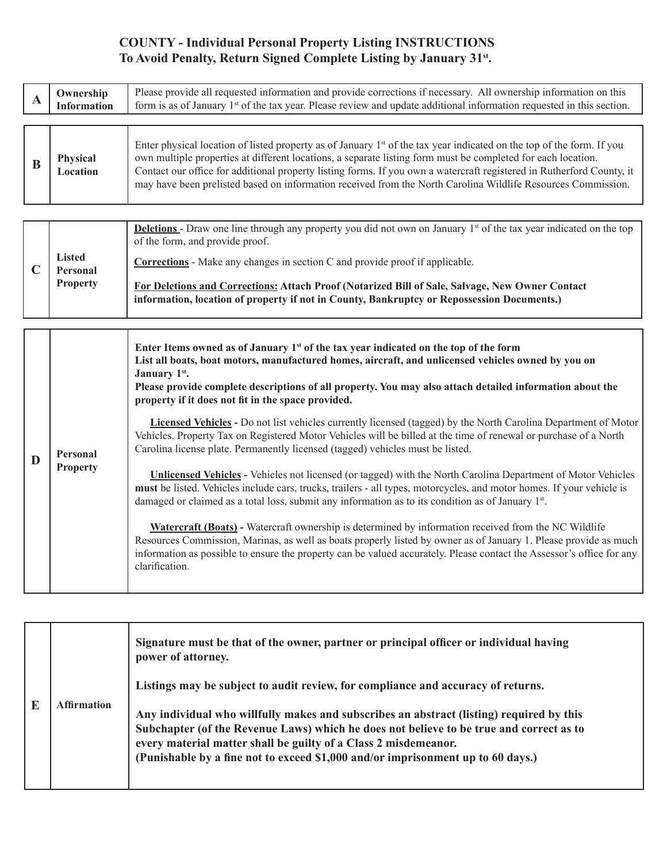# **COUNTY - Individual Personal Property Listing INSTRUCTIONS To Avoid Penalty, Return Signed Complete Listing by January 31st.**

| A | Ownership<br><b>Information</b>    | Please provide all requested information and provide corrections if necessary. All ownership information on this<br>form is as of January 1 <sup>st</sup> of the tax year. Please review and update additional information requested in this section.                                                                                                                                                                                                                                      |
|---|------------------------------------|--------------------------------------------------------------------------------------------------------------------------------------------------------------------------------------------------------------------------------------------------------------------------------------------------------------------------------------------------------------------------------------------------------------------------------------------------------------------------------------------|
|   |                                    |                                                                                                                                                                                                                                                                                                                                                                                                                                                                                            |
|   | <b>Physical</b><br><b>Location</b> | Enter physical location of listed property as of January 1 <sup>st</sup> of the tax year indicated on the top of the form. If you<br>own multiple properties at different locations, a separate listing form must be completed for each location.<br>Contact our office for additional property listing forms. If you own a watercraft registered in Rutherford County, it<br>may have been prelisted based on information received from the North Carolina Wildlife Resources Commission. |

|                                              | <b>Deletions</b> - Draw one line through any property you did not own on January 1 <sup>st</sup> of the tax year indicated on the top<br>of the form, and provide proof.                      |
|----------------------------------------------|-----------------------------------------------------------------------------------------------------------------------------------------------------------------------------------------------|
| <b>Listed</b><br>Personal<br><b>Property</b> | <b>Corrections</b> - Make any changes in section C and provide proof if applicable.                                                                                                           |
|                                              | For Deletions and Corrections: Attach Proof (Notarized Bill of Sale, Salvage, New Owner Contact<br>information, location of property if not in County, Bankruptcy or Repossession Documents.) |

| D | <b>Personal</b><br><b>Property</b> | Enter Items owned as of January $1st$ of the tax year indicated on the top of the form<br>List all boats, boat motors, manufactured homes, aircraft, and unlicensed vehicles owned by you on<br>January 1 <sup>st</sup> .<br>Please provide complete descriptions of all property. You may also attach detailed information about the<br>property if it does not fit in the space provided.<br><b>Licensed Vehicles</b> - Do not list vehicles currently licensed (tagged) by the North Carolina Department of Motor<br>Vehicles. Property Tax on Registered Motor Vehicles will be billed at the time of renewal or purchase of a North<br>Carolina license plate. Permanently licensed (tagged) vehicles must be listed.<br><b>Unlicensed Vehicles</b> - Vehicles not licensed (or tagged) with the North Carolina Department of Motor Vehicles<br>must be listed. Vehicles include cars, trucks, trailers - all types, motorcycles, and motor homes. If your vehicle is<br>damaged or claimed as a total loss, submit any information as to its condition as of January 1st. |
|---|------------------------------------|---------------------------------------------------------------------------------------------------------------------------------------------------------------------------------------------------------------------------------------------------------------------------------------------------------------------------------------------------------------------------------------------------------------------------------------------------------------------------------------------------------------------------------------------------------------------------------------------------------------------------------------------------------------------------------------------------------------------------------------------------------------------------------------------------------------------------------------------------------------------------------------------------------------------------------------------------------------------------------------------------------------------------------------------------------------------------------|
|   |                                    | <b>Watercraft (Boats)</b> - Watercraft ownership is determined by information received from the NC Wildlife<br>Resources Commission, Marinas, as well as boats properly listed by owner as of January 1. Please provide as much<br>information as possible to ensure the property can be valued accurately. Please contact the Assessor's office for any<br>clarification.                                                                                                                                                                                                                                                                                                                                                                                                                                                                                                                                                                                                                                                                                                      |

|  | <b>Affirmation</b> | Signature must be that of the owner, partner or principal officer or individual having<br>power of attorney.<br>Listings may be subject to audit review, for compliance and accuracy of returns.<br>Any individual who willfully makes and subscribes an abstract (listing) required by this<br>Subchapter (of the Revenue Laws) which he does not believe to be true and correct as to<br>every material matter shall be guilty of a Class 2 misdemeanor.<br>(Punishable by a fine not to exceed \$1,000 and/or imprisonment up to 60 days.) |
|--|--------------------|-----------------------------------------------------------------------------------------------------------------------------------------------------------------------------------------------------------------------------------------------------------------------------------------------------------------------------------------------------------------------------------------------------------------------------------------------------------------------------------------------------------------------------------------------|
|--|--------------------|-----------------------------------------------------------------------------------------------------------------------------------------------------------------------------------------------------------------------------------------------------------------------------------------------------------------------------------------------------------------------------------------------------------------------------------------------------------------------------------------------------------------------------------------------|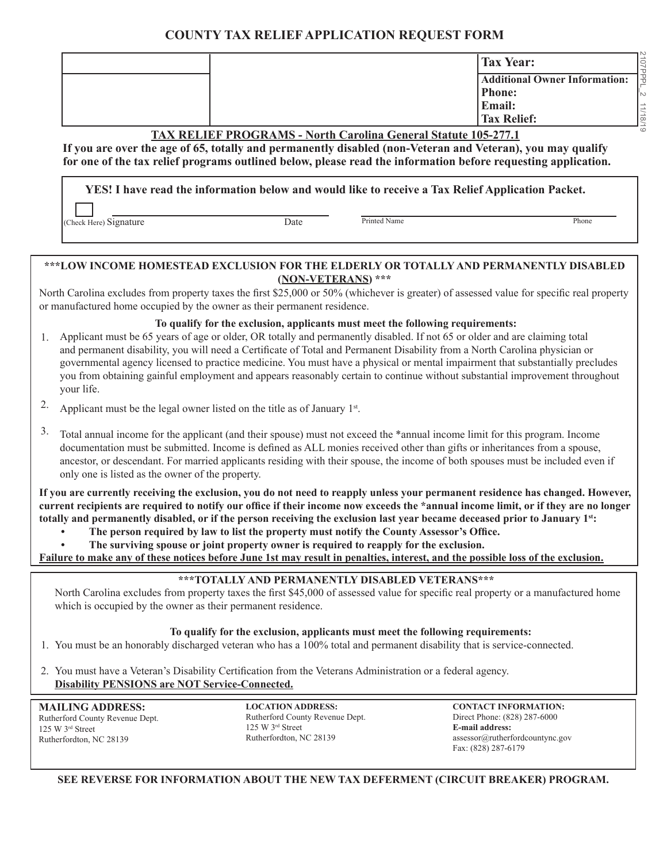## **COUNTY TAX RELIEF APPLICATION REQUEST FORM**

|                                                                        | <b>Tax Year:</b>   | JOL                                         |  |  |
|------------------------------------------------------------------------|--------------------|---------------------------------------------|--|--|
|                                                                        |                    | <b>Additional Owner Information:</b><br>l – |  |  |
|                                                                        | <b>Phone:</b>      | l'∾                                         |  |  |
|                                                                        | <b>Email:</b>      | 11/18/                                      |  |  |
|                                                                        | <b>Tax Relief:</b> |                                             |  |  |
| _ _ _ _ _ _ _ _ _ _ _ _<br>_ . _ . _ _ _ _ _ _ _ _ _ _ _ _ _ _ . _ _ _ |                    |                                             |  |  |

#### **TAX RELIEF PROGRAMS - North Carolina General Statute 105-277.1**

**If you are over the age of 65, totally and permanently disabled (non-Veteran and Veteran), you may qualify for one of the tax relief programs outlined below, please read the information before requesting application.**

**YES! I have read the information below and would like to receive a Tax Relief Application Packet.**

(Check Here) Signature Date Printed Name Phone

### **\*\*\*LOW INCOME HOMESTEAD EXCLUSION FOR THE ELDERLY OR TOTALLY AND PERMANENTLY DISABLED (NON-VETERANS) \*\*\***

North Carolina excludes from property taxes the first \$25,000 or 50% (whichever is greater) of assessed value for specific real property or manufactured home occupied by the owner as their permanent residence.

#### **To qualify for the exclusion, applicants must meet the following requirements:**

- Applicant must be 65 years of age or older, OR totally and permanently disabled. If not 65 or older and are claiming total and permanent disability, you will need a Certificate of Total and Permanent Disability from a North Carolina physician or governmental agency licensed to practice medicine. You must have a physical or mental impairment that substantially precludes you from obtaining gainful employment and appears reasonably certain to continue without substantial improvement throughout your life. 1.
- Applicant must be the legal owner listed on the title as of January  $1^{st}$ . 2.
- Total annual income for the applicant (and their spouse) must not exceed the \*annual income limit for this program. Income documentation must be submitted. Income is defined as ALL monies received other than gifts or inheritances from a spouse, ancestor, or descendant. For married applicants residing with their spouse, the income of both spouses must be included even if only one is listed as the owner of the property. 3.

**If you are currently receiving the exclusion, you do not need to reapply unless your permanent residence has changed. However, current recipients are required to notify our office if their income now exceeds the \*annual income limit, or if they are no longer totally and permanently disabled, or if the person receiving the exclusion last year became deceased prior to January 1st:**

- **The person required by law to list the property must notify the County Assessor's Office.**
- **The surviving spouse or joint property owner is required to reapply for the exclusion.**

**Failure to make any of these notices before June 1st may result in penalties, interest, and the possible loss of the exclusion.**

#### **\*\*\*TOTALLY AND PERMANENTLY DISABLED VETERANS\*\*\***

North Carolina excludes from property taxes the first \$45,000 of assessed value for specific real property or a manufactured home which is occupied by the owner as their permanent residence.

#### **To qualify for the exclusion, applicants must meet the following requirements:**

- 1. You must be an honorably discharged veteran who has a 100% total and permanent disability that is service-connected.
- 2. You must have a Veteran's Disability Certification from the Veterans Administration or a federal agency. **Disability PENSIONS are NOT Service-Connected.**

**MAILING ADDRESS:** Rutherford County Revenue Dept. 125 W 3rd Street Rutherfordton, NC 28139

**LOCATION ADDRESS:** Rutherford County Revenue Dept. 125 W 3rd Street Rutherfordton, NC 28139

**CONTACT INFORMATION:** Direct Phone: (828) 287-6000 **E-mail address:**  assessor@rutherfordcountync.gov Fax: (828) 287-6179

#### **SEE REVERSE FOR INFORMATION ABOUT THE NEW TAX DEFERMENT (CIRCUIT BREAKER) PROGRAM.**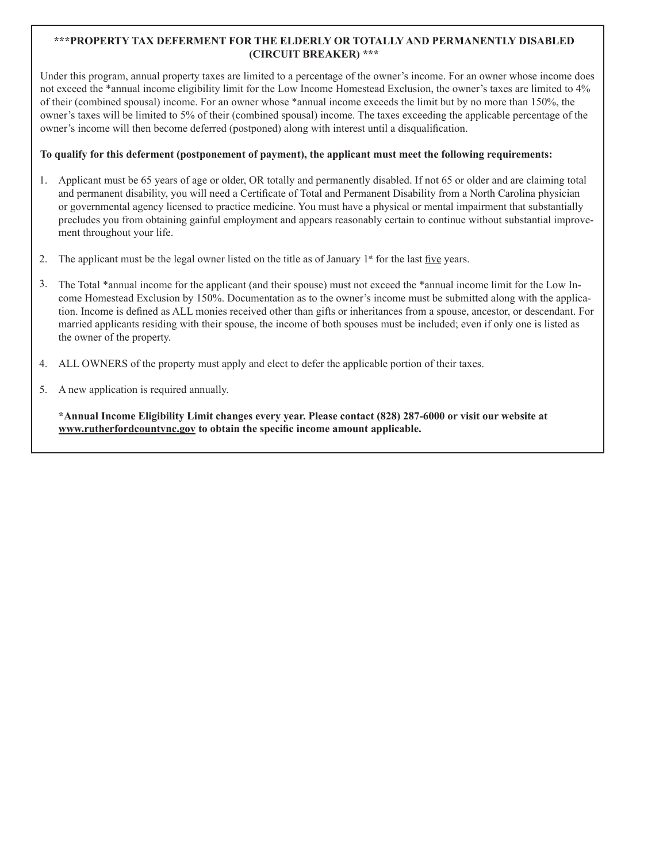#### **\*\*\*PROPERTY TAX DEFERMENT FOR THE ELDERLY OR TOTALLY AND PERMANENTLY DISABLED (CIRCUIT BREAKER) \*\*\***

Under this program, annual property taxes are limited to a percentage of the owner's income. For an owner whose income does not exceed the \*annual income eligibility limit for the Low Income Homestead Exclusion, the owner's taxes are limited to 4% of their (combined spousal) income. For an owner whose \*annual income exceeds the limit but by no more than 150%, the owner's taxes will be limited to 5% of their (combined spousal) income. The taxes exceeding the applicable percentage of the owner's income will then become deferred (postponed) along with interest until a disqualification.

#### **To qualify for this deferment (postponement of payment), the applicant must meet the following requirements:**

- Applicant must be 65 years of age or older, OR totally and permanently disabled. If not 65 or older and are claiming total and permanent disability, you will need a Certificate of Total and Permanent Disability from a North Carolina physician or governmental agency licensed to practice medicine. You must have a physical or mental impairment that substantially precludes you from obtaining gainful employment and appears reasonably certain to continue without substantial improvement throughout your life. 1.
- The applicant must be the legal owner listed on the title as of January  $1<sup>st</sup>$  for the last five years. 2.
- The Total \*annual income for the applicant (and their spouse) must not exceed the \*annual income limit for the Low Income Homestead Exclusion by 150%. Documentation as to the owner's income must be submitted along with the application. Income is defined as ALL monies received other than gifts or inheritances from a spouse, ancestor, or descendant. For married applicants residing with their spouse, the income of both spouses must be included; even if only one is listed as the owner of the property. 3.
- ALL OWNERS of the property must apply and elect to defer the applicable portion of their taxes. 4.
- A new application is required annually. 5.

**\*Annual Income Eligibility Limit changes every year. Please contact (828) 287-6000 or visit our website at www.rutherfordcountync.gov to obtain the specific income amount applicable.**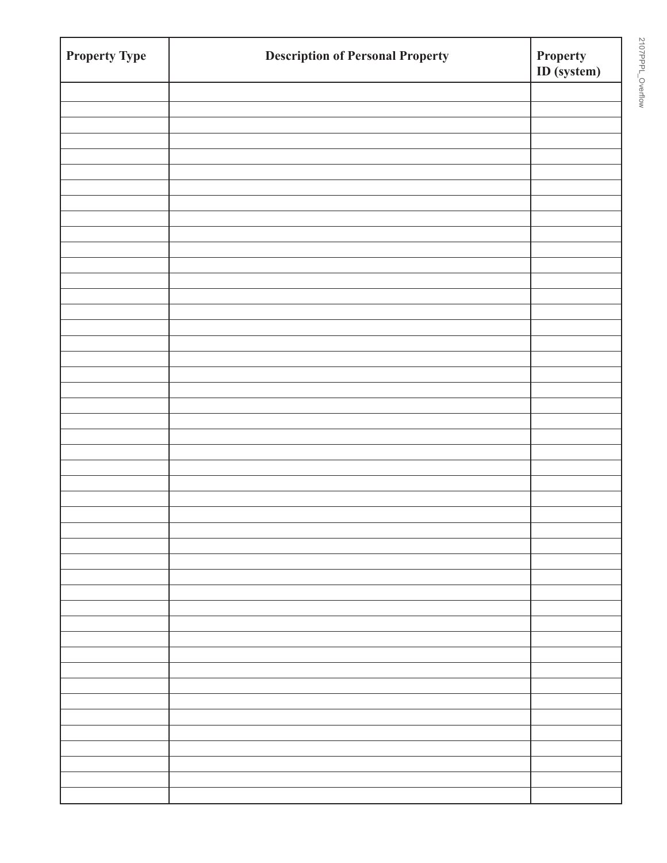| <b>Property Type</b> | <b>Description of Personal Property</b> | <b>Property</b><br>ID (system) |
|----------------------|-----------------------------------------|--------------------------------|
|                      |                                         |                                |
|                      |                                         |                                |
|                      |                                         |                                |
|                      |                                         |                                |
|                      |                                         |                                |
|                      |                                         |                                |
|                      |                                         |                                |
|                      |                                         |                                |
|                      |                                         |                                |
|                      |                                         |                                |
|                      |                                         |                                |
|                      |                                         |                                |
|                      |                                         |                                |
|                      |                                         |                                |
|                      |                                         |                                |
|                      |                                         |                                |
|                      |                                         |                                |
|                      |                                         |                                |
|                      |                                         |                                |
|                      |                                         |                                |
|                      |                                         |                                |
|                      |                                         |                                |
|                      |                                         |                                |
|                      |                                         |                                |
|                      |                                         |                                |
|                      |                                         |                                |
|                      |                                         |                                |
|                      |                                         |                                |
|                      |                                         |                                |
|                      |                                         |                                |
|                      |                                         |                                |
|                      |                                         |                                |
|                      |                                         |                                |
|                      |                                         |                                |
|                      |                                         |                                |
|                      |                                         |                                |